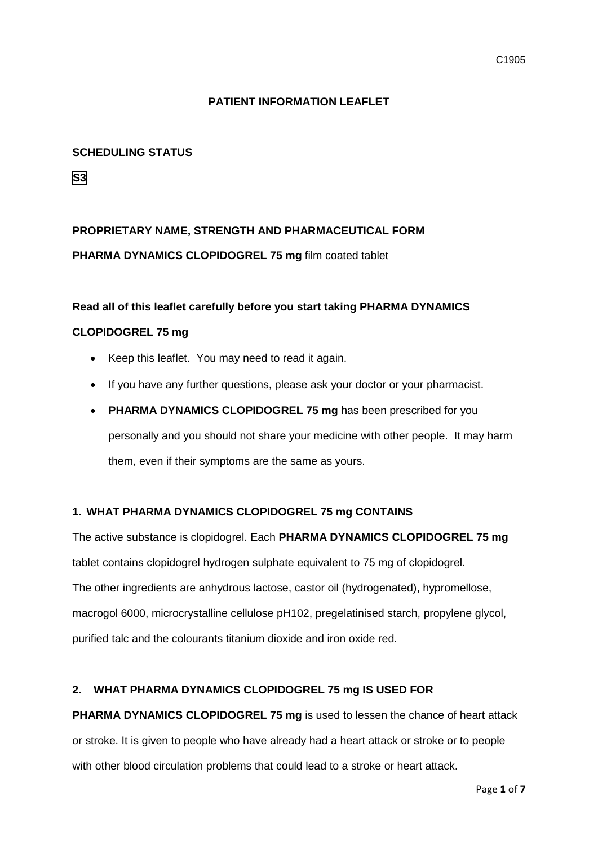#### **PATIENT INFORMATION LEAFLET**

#### **SCHEDULING STATUS**

**S3**

## **PROPRIETARY NAME, STRENGTH AND PHARMACEUTICAL FORM PHARMA DYNAMICS CLOPIDOGREL 75 mg** film coated tablet

## **Read all of this leaflet carefully before you start taking PHARMA DYNAMICS CLOPIDOGREL 75 mg**

- Keep this leaflet. You may need to read it again.
- If you have any further questions, please ask your doctor or your pharmacist.
- **PHARMA DYNAMICS CLOPIDOGREL 75 mg** has been prescribed for you personally and you should not share your medicine with other people. It may harm them, even if their symptoms are the same as yours.

#### **1. WHAT PHARMA DYNAMICS CLOPIDOGREL 75 mg CONTAINS**

The active substance is clopidogrel. Each **PHARMA DYNAMICS CLOPIDOGREL 75 mg**  tablet contains clopidogrel hydrogen sulphate equivalent to 75 mg of clopidogrel. The other ingredients are anhydrous lactose, castor oil (hydrogenated), hypromellose, macrogol 6000, microcrystalline cellulose pH102, pregelatinised starch, propylene glycol, purified talc and the colourants titanium dioxide and iron oxide red.

#### **2. WHAT PHARMA DYNAMICS CLOPIDOGREL 75 mg IS USED FOR**

**PHARMA DYNAMICS CLOPIDOGREL 75 mg** is used to lessen the chance of heart attack or stroke. It is given to people who have already had a heart attack or stroke or to people with other blood circulation problems that could lead to a stroke or heart attack.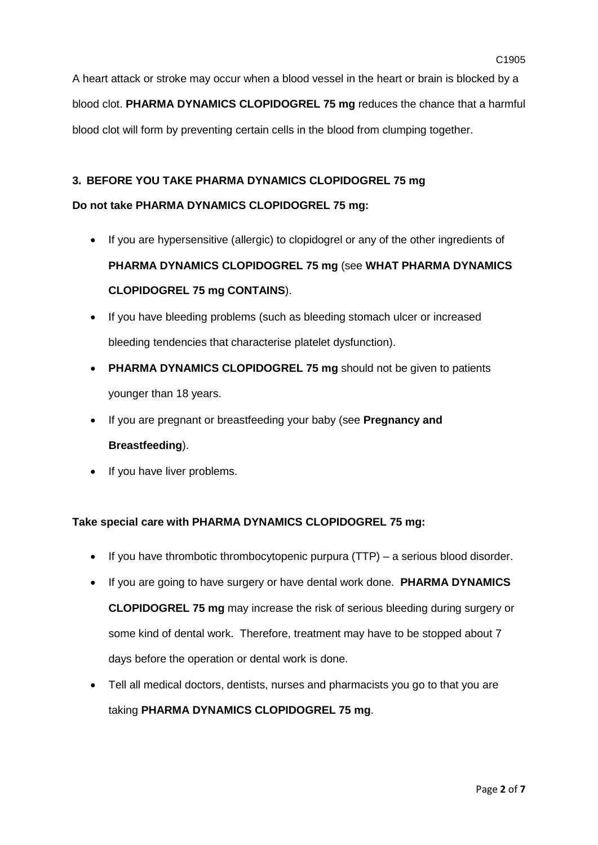A heart attack or stroke may occur when a blood vessel in the heart or brain is blocked by a blood clot. **PHARMA DYNAMICS CLOPIDOGREL 75 mg** reduces the chance that a harmful blood clot will form by preventing certain cells in the blood from clumping together.

## **3. BEFORE YOU TAKE PHARMA DYNAMICS CLOPIDOGREL 75 mg**

## **Do not take PHARMA DYNAMICS CLOPIDOGREL 75 mg:**

- If you are hypersensitive (allergic) to clopidogrel or any of the other ingredients of **PHARMA DYNAMICS CLOPIDOGREL 75 mg** (see **WHAT PHARMA DYNAMICS CLOPIDOGREL 75 mg CONTAINS**).
- If you have bleeding problems (such as bleeding stomach ulcer or increased bleeding tendencies that characterise platelet dysfunction).
- **PHARMA DYNAMICS CLOPIDOGREL 75 mg** should not be given to patients younger than 18 years.
- If you are pregnant or breastfeeding your baby (see **Pregnancy and Breastfeeding**).
- If you have liver problems.

## **Take special care with PHARMA DYNAMICS CLOPIDOGREL 75 mg:**

- If you have thrombotic thrombocytopenic purpura (TTP) a serious blood disorder.
- If you are going to have surgery or have dental work done. **PHARMA DYNAMICS CLOPIDOGREL 75 mg** may increase the risk of serious bleeding during surgery or some kind of dental work. Therefore, treatment may have to be stopped about 7 days before the operation or dental work is done.
- Tell all medical doctors, dentists, nurses and pharmacists you go to that you are taking **PHARMA DYNAMICS CLOPIDOGREL 75 mg**.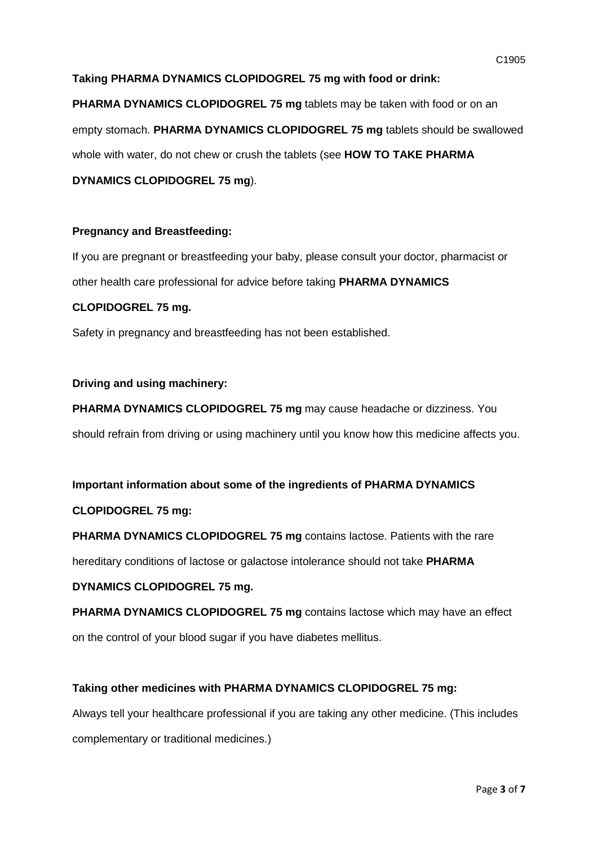#### **Taking PHARMA DYNAMICS CLOPIDOGREL 75 mg with food or drink:**

**PHARMA DYNAMICS CLOPIDOGREL 75 mg** tablets may be taken with food or on an empty stomach. **PHARMA DYNAMICS CLOPIDOGREL 75 mg** tablets should be swallowed whole with water, do not chew or crush the tablets (see **HOW TO TAKE PHARMA** 

**DYNAMICS CLOPIDOGREL 75 mg**).

#### **Pregnancy and Breastfeeding:**

If you are pregnant or breastfeeding your baby, please consult your doctor, pharmacist or other health care professional for advice before taking **PHARMA DYNAMICS** 

#### **CLOPIDOGREL 75 mg.**

Safety in pregnancy and breastfeeding has not been established.

#### **Driving and using machinery:**

**PHARMA DYNAMICS CLOPIDOGREL 75 mg** may cause headache or dizziness. You should refrain from driving or using machinery until you know how this medicine affects you.

## **Important information about some of the ingredients of PHARMA DYNAMICS**

#### **CLOPIDOGREL 75 mg:**

**PHARMA DYNAMICS CLOPIDOGREL 75 mg** contains lactose. Patients with the rare

hereditary conditions of lactose or galactose intolerance should not take **PHARMA** 

## **DYNAMICS CLOPIDOGREL 75 mg.**

**PHARMA DYNAMICS CLOPIDOGREL 75 mg** contains lactose which may have an effect on the control of your blood sugar if you have diabetes mellitus.

#### **Taking other medicines with PHARMA DYNAMICS CLOPIDOGREL 75 mg:**

Always tell your healthcare professional if you are taking any other medicine. (This includes complementary or traditional medicines.)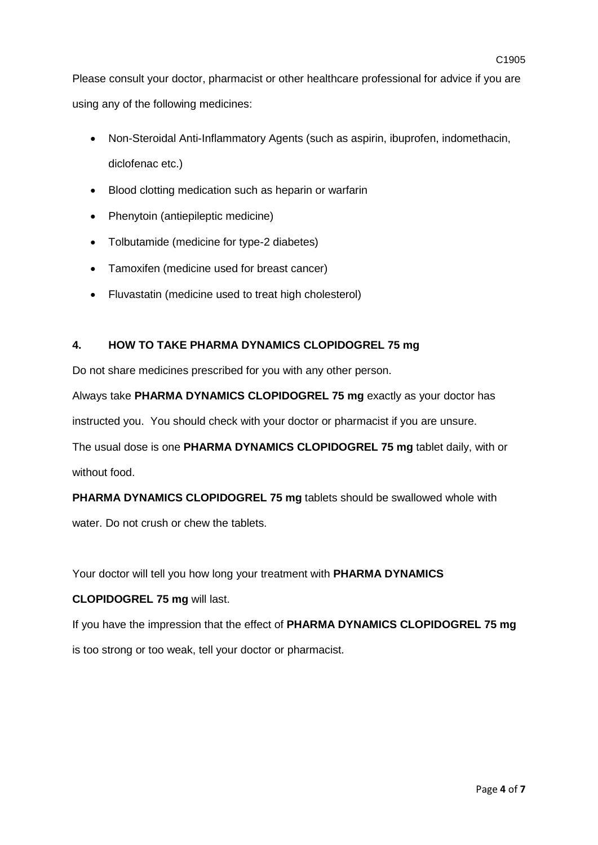using any of the following medicines:

- Non-Steroidal Anti-Inflammatory Agents (such as aspirin, ibuprofen, indomethacin, diclofenac etc.)
- Blood clotting medication such as heparin or warfarin
- Phenytoin (antiepileptic medicine)
- Tolbutamide (medicine for type-2 diabetes)
- Tamoxifen (medicine used for breast cancer)
- Fluvastatin (medicine used to treat high cholesterol)

## **4. HOW TO TAKE PHARMA DYNAMICS CLOPIDOGREL 75 mg**

Do not share medicines prescribed for you with any other person.

Always take **PHARMA DYNAMICS CLOPIDOGREL 75 mg** exactly as your doctor has

instructed you. You should check with your doctor or pharmacist if you are unsure.

The usual dose is one **PHARMA DYNAMICS CLOPIDOGREL 75 mg** tablet daily, with or without food.

**PHARMA DYNAMICS CLOPIDOGREL 75 mg** tablets should be swallowed whole with

water. Do not crush or chew the tablets.

Your doctor will tell you how long your treatment with **PHARMA DYNAMICS** 

## **CLOPIDOGREL 75 mg** will last.

If you have the impression that the effect of **PHARMA DYNAMICS CLOPIDOGREL 75 mg**  is too strong or too weak, tell your doctor or pharmacist.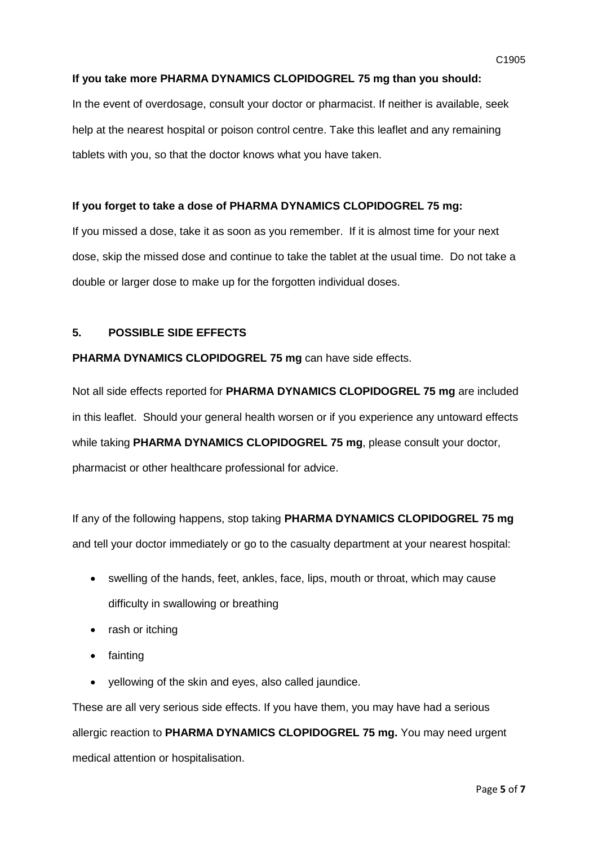In the event of overdosage, consult your doctor or pharmacist. If neither is available, seek help at the nearest hospital or poison control centre. Take this leaflet and any remaining tablets with you, so that the doctor knows what you have taken.

#### **If you forget to take a dose of PHARMA DYNAMICS CLOPIDOGREL 75 mg:**

If you missed a dose, take it as soon as you remember. If it is almost time for your next dose, skip the missed dose and continue to take the tablet at the usual time. Do not take a double or larger dose to make up for the forgotten individual doses.

#### **5. POSSIBLE SIDE EFFECTS**

#### **PHARMA DYNAMICS CLOPIDOGREL 75 mg** can have side effects.

Not all side effects reported for **PHARMA DYNAMICS CLOPIDOGREL 75 mg** are included in this leaflet. Should your general health worsen or if you experience any untoward effects while taking **PHARMA DYNAMICS CLOPIDOGREL 75 mg**, please consult your doctor, pharmacist or other healthcare professional for advice.

If any of the following happens, stop taking **PHARMA DYNAMICS CLOPIDOGREL 75 mg**  and tell your doctor immediately or go to the casualty department at your nearest hospital:

- swelling of the hands, feet, ankles, face, lips, mouth or throat, which may cause difficulty in swallowing or breathing
- rash or itching
- fainting
- yellowing of the skin and eyes, also called jaundice.

These are all very serious side effects. If you have them, you may have had a serious allergic reaction to **PHARMA DYNAMICS CLOPIDOGREL 75 mg.** You may need urgent medical attention or hospitalisation.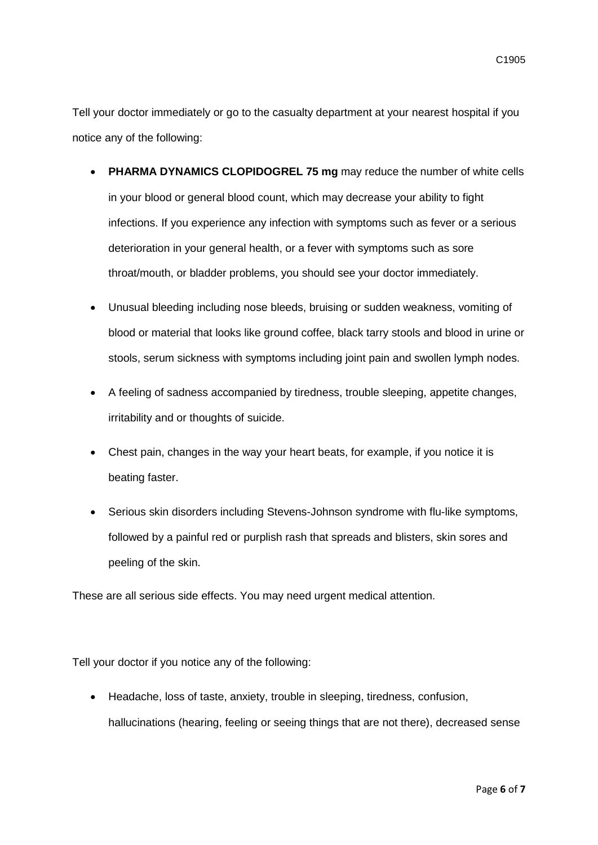Tell your doctor immediately or go to the casualty department at your nearest hospital if you notice any of the following:

- **PHARMA DYNAMICS CLOPIDOGREL 75 mg** may reduce the number of white cells in your blood or general blood count, which may decrease your ability to fight infections. If you experience any infection with symptoms such as fever or a serious deterioration in your general health, or a fever with symptoms such as sore throat/mouth, or bladder problems, you should see your doctor immediately.
- Unusual bleeding including nose bleeds, bruising or sudden weakness, vomiting of blood or material that looks like ground coffee, black tarry stools and blood in urine or stools, serum sickness with symptoms including joint pain and swollen lymph nodes.
- A feeling of sadness accompanied by tiredness, trouble sleeping, appetite changes, irritability and or thoughts of suicide.
- Chest pain, changes in the way your heart beats, for example, if you notice it is beating faster.
- Serious skin disorders including Stevens-Johnson syndrome with flu-like symptoms, followed by a painful red or purplish rash that spreads and blisters, skin sores and peeling of the skin.

These are all serious side effects. You may need urgent medical attention.

Tell your doctor if you notice any of the following:

• Headache, loss of taste, anxiety, trouble in sleeping, tiredness, confusion, hallucinations (hearing, feeling or seeing things that are not there), decreased sense